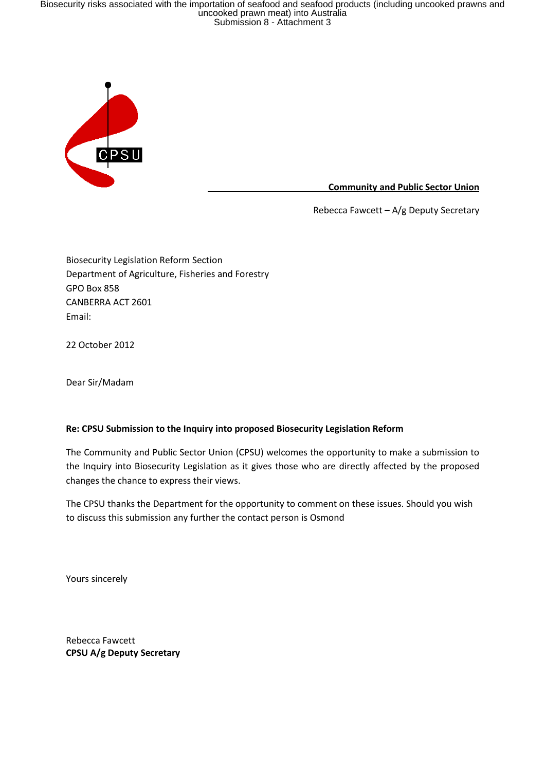Biosecurity risks associated with the importation of seafood and seafood products (including uncooked prawns and<br>uncooked prawn meat) into Australia<br>Submission 8 - Attachment 3



Community and Public Sector Union

Rebecca Fawcett – A/g Deputy Secretary

Biosecurity Legislation Reform Section Department of Agriculture, Fisheries and Forestry GPO Box 858 CANBERRA ACT 2601 Email:

22 October 2012

Dear Sir/Madam

# Re: CPSU Submission to the Inquiry into proposed Biosecurity Legislation Reform

The Community and Public Sector Union (CPSU) welcomes the opportunity to make a submission to the Inquiry into Biosecurity Legislation as it gives those who are directly affected by the proposed changes the chance to express their views.

The CPSU thanks the Department for the opportunity to comment on these issues. Should you wish to discuss this submission any further the contact person is Osmond

Yours sincerely

Rebecca Fawcett CPSU A/g Deputy Secretary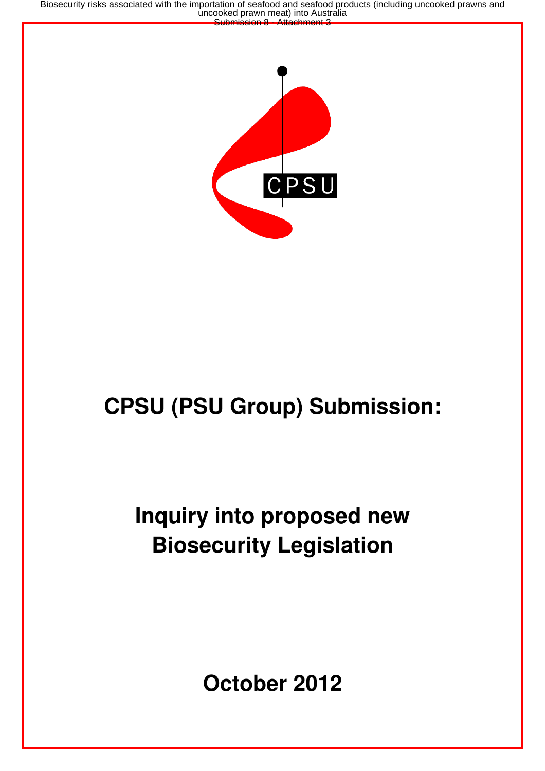Biosecurity risks associated with the importation of seafood and seafood products (including uncooked prawns and<br>uncooked prawn meat) into Australia<br>Submission 8 - Attachment 3



# **CPSU (PSU Group) Submission:**

# **Inquiry into proposed new Biosecurity Legislation**

**October 2012**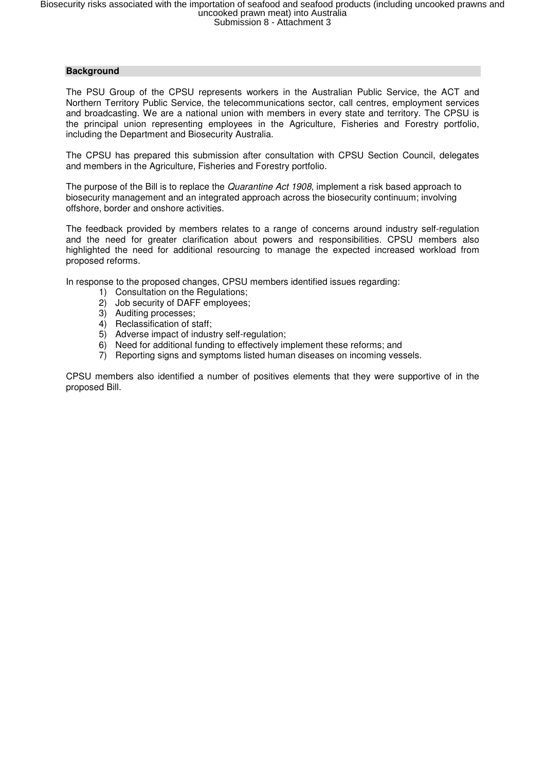# **Background**

The PSU Group of the CPSU represents workers in the Australian Public Service, the ACT and Northern Territory Public Service, the telecommunications sector, call centres, employment services and broadcasting. We are a national union with members in every state and territory. The CPSU is the principal union representing employees in the Agriculture, Fisheries and Forestry portfolio, including the Department and Biosecurity Australia.

The CPSU has prepared this submission after consultation with CPSU Section Council, delegates and members in the Agriculture, Fisheries and Forestry portfolio.

The purpose of the Bill is to replace the *Quarantine Act 1908*, implement a risk based approach to biosecurity management and an integrated approach across the biosecurity continuum; involving offshore, border and onshore activities.

The feedback provided by members relates to a range of concerns around industry self-regulation and the need for greater clarification about powers and responsibilities. CPSU members also highlighted the need for additional resourcing to manage the expected increased workload from proposed reforms.

In response to the proposed changes, CPSU members identified issues regarding:

- 1) Consultation on the Regulations;
- 2) Job security of DAFF employees;
- 3) Auditing processes;
- 4) Reclassification of staff;
- 5) Adverse impact of industry self-regulation;
- 6) Need for additional funding to effectively implement these reforms; and
- 7) Reporting signs and symptoms listed human diseases on incoming vessels.

CPSU members also identified a number of positives elements that they were supportive of in the proposed Bill.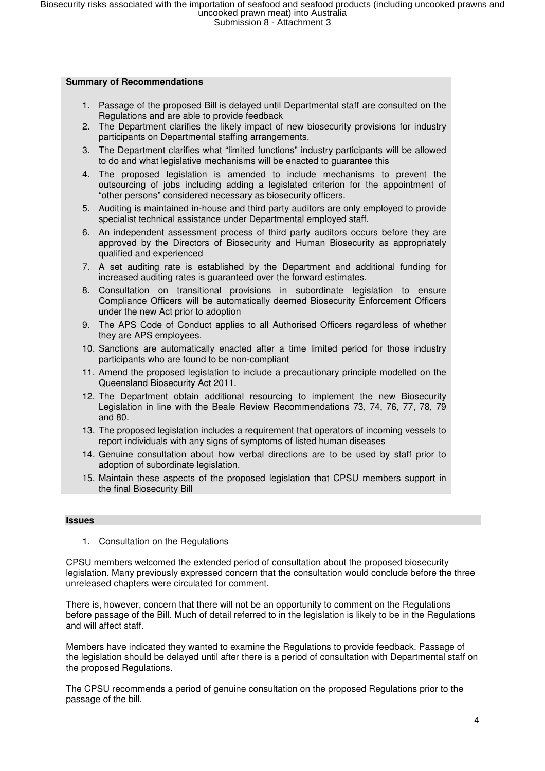#### **Summary of Recommendations**

- 1. Passage of the proposed Bill is delayed until Departmental staff are consulted on the Regulations and are able to provide feedback
- 2. The Department clarifies the likely impact of new biosecurity provisions for industry participants on Departmental staffing arrangements.
- 3. The Department clarifies what "limited functions" industry participants will be allowed to do and what legislative mechanisms will be enacted to guarantee this
- 4. The proposed legislation is amended to include mechanisms to prevent the outsourcing of jobs including adding a legislated criterion for the appointment of "other persons" considered necessary as biosecurity officers.
- 5. Auditing is maintained in-house and third party auditors are only employed to provide specialist technical assistance under Departmental employed staff.
- 6. An independent assessment process of third party auditors occurs before they are approved by the Directors of Biosecurity and Human Biosecurity as appropriately qualified and experienced
- 7. A set auditing rate is established by the Department and additional funding for increased auditing rates is guaranteed over the forward estimates.
- 8. Consultation on transitional provisions in subordinate legislation to ensure Compliance Officers will be automatically deemed Biosecurity Enforcement Officers under the new Act prior to adoption
- 9. The APS Code of Conduct applies to all Authorised Officers regardless of whether they are APS employees.
- 10. Sanctions are automatically enacted after a time limited period for those industry participants who are found to be non-compliant
- 11. Amend the proposed legislation to include a precautionary principle modelled on the Queensland Biosecurity Act 2011.
- 12. The Department obtain additional resourcing to implement the new Biosecurity Legislation in line with the Beale Review Recommendations 73, 74, 76, 77, 78, 79 and 80.
- 13. The proposed legislation includes a requirement that operators of incoming vessels to report individuals with any signs of symptoms of listed human diseases
- 14. Genuine consultation about how verbal directions are to be used by staff prior to adoption of subordinate legislation.
- 15. Maintain these aspects of the proposed legislation that CPSU members support in the final Biosecurity Bill

#### **Issues**

1. Consultation on the Regulations

CPSU members welcomed the extended period of consultation about the proposed biosecurity legislation. Many previously expressed concern that the consultation would conclude before the three unreleased chapters were circulated for comment.

There is, however, concern that there will not be an opportunity to comment on the Regulations before passage of the Bill. Much of detail referred to in the legislation is likely to be in the Regulations and will affect staff.

Members have indicated they wanted to examine the Regulations to provide feedback. Passage of the legislation should be delayed until after there is a period of consultation with Departmental staff on the proposed Regulations.

The CPSU recommends a period of genuine consultation on the proposed Regulations prior to the passage of the bill.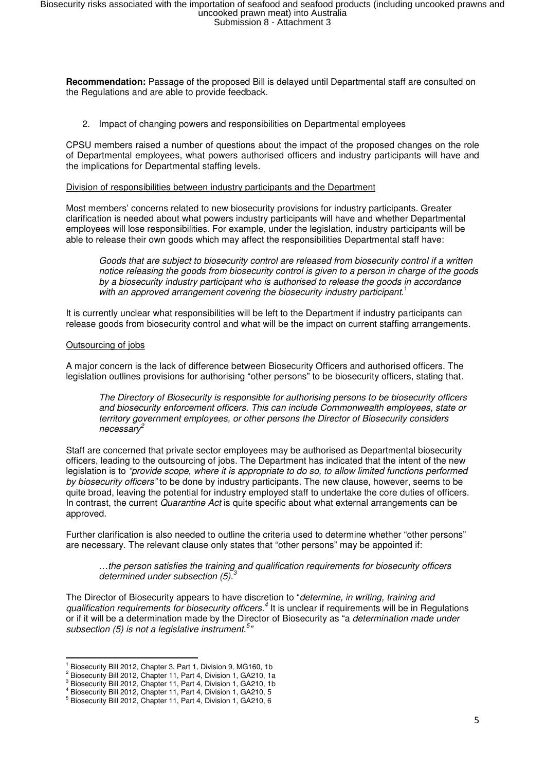**Recommendation:** Passage of the proposed Bill is delayed until Departmental staff are consulted on the Regulations and are able to provide feedback.

2. Impact of changing powers and responsibilities on Departmental employees

CPSU members raised a number of questions about the impact of the proposed changes on the role of Departmental employees, what powers authorised officers and industry participants will have and the implications for Departmental staffing levels.

#### Division of responsibilities between industry participants and the Department

Most members' concerns related to new biosecurity provisions for industry participants. Greater clarification is needed about what powers industry participants will have and whether Departmental employees will lose responsibilities. For example, under the legislation, industry participants will be able to release their own goods which may affect the responsibilities Departmental staff have:

Goods that are subject to biosecurity control are released from biosecurity control if a written notice releasing the goods from biosecurity control is given to a person in charge of the goods by a biosecurity industry participant who is authorised to release the goods in accordance with an approved arrangement covering the biosecurity industry participant.<sup>1</sup>

It is currently unclear what responsibilities will be left to the Department if industry participants can release goods from biosecurity control and what will be the impact on current staffing arrangements.

#### Outsourcing of jobs

 $\overline{a}$ 

A major concern is the lack of difference between Biosecurity Officers and authorised officers. The legislation outlines provisions for authorising "other persons" to be biosecurity officers, stating that.

The Directory of Biosecurity is responsible for authorising persons to be biosecurity officers and biosecurity enforcement officers. This can include Commonwealth employees, state or territory government employees, or other persons the Director of Biosecurity considers  $n$ ecessar $\nu^2$ 

Staff are concerned that private sector employees may be authorised as Departmental biosecurity officers, leading to the outsourcing of jobs. The Department has indicated that the intent of the new legislation is to "provide scope, where it is appropriate to do so, to allow limited functions performed by biosecurity officers" to be done by industry participants. The new clause, however, seems to be quite broad, leaving the potential for industry employed staff to undertake the core duties of officers. In contrast, the current Quarantine Act is quite specific about what external arrangements can be approved.

Further clarification is also needed to outline the criteria used to determine whether "other persons" are necessary. The relevant clause only states that "other persons" may be appointed if:

…the person satisfies the training and qualification requirements for biosecurity officers determined under subsection  $(5)$ .

The Director of Biosecurity appears to have discretion to "determine, in writing, training and qualification requirements for biosecurity officers.<sup>4</sup> It is unclear if requirements will be in Regulations or if it will be a determination made by the Director of Biosecurity as "a *determination made under* subsection (5) is not a legislative instrument.<sup>5</sup>"

<sup>&</sup>lt;sup>1</sup> Biosecurity Bill 2012, Chapter 3, Part 1, Division 9, MG160, 1b

<sup>&</sup>lt;sup>2</sup> Biosecurity Bill 2012, Chapter 11, Part 4, Division 1, GA210, 1a

<sup>&</sup>lt;sup>3</sup> Biosecurity Bill 2012, Chapter 11, Part 4, Division 1, GA210, 1b

<sup>4</sup> Biosecurity Bill 2012, Chapter 11, Part 4, Division 1, GA210, 5

<sup>5</sup> Biosecurity Bill 2012, Chapter 11, Part 4, Division 1, GA210, 6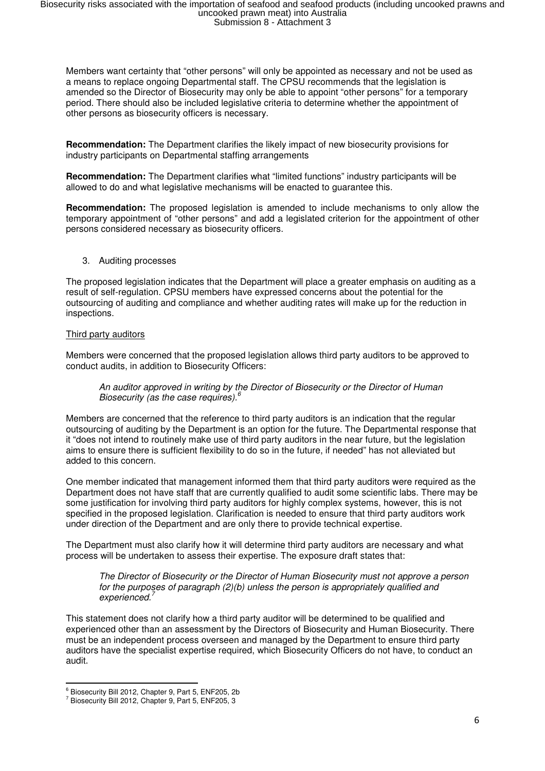Members want certainty that "other persons" will only be appointed as necessary and not be used as a means to replace ongoing Departmental staff. The CPSU recommends that the legislation is amended so the Director of Biosecurity may only be able to appoint "other persons" for a temporary period. There should also be included legislative criteria to determine whether the appointment of other persons as biosecurity officers is necessary.

**Recommendation:** The Department clarifies the likely impact of new biosecurity provisions for industry participants on Departmental staffing arrangements

**Recommendation:** The Department clarifies what "limited functions" industry participants will be allowed to do and what legislative mechanisms will be enacted to guarantee this.

**Recommendation:** The proposed legislation is amended to include mechanisms to only allow the temporary appointment of "other persons" and add a legislated criterion for the appointment of other persons considered necessary as biosecurity officers.

3. Auditing processes

The proposed legislation indicates that the Department will place a greater emphasis on auditing as a result of self-regulation. CPSU members have expressed concerns about the potential for the outsourcing of auditing and compliance and whether auditing rates will make up for the reduction in inspections.

## Third party auditors

Members were concerned that the proposed legislation allows third party auditors to be approved to conduct audits, in addition to Biosecurity Officers:

# An auditor approved in writing by the Director of Biosecurity or the Director of Human Biosecurity (as the case requires). $6$

Members are concerned that the reference to third party auditors is an indication that the regular outsourcing of auditing by the Department is an option for the future. The Departmental response that it "does not intend to routinely make use of third party auditors in the near future, but the legislation aims to ensure there is sufficient flexibility to do so in the future, if needed" has not alleviated but added to this concern.

One member indicated that management informed them that third party auditors were required as the Department does not have staff that are currently qualified to audit some scientific labs. There may be some justification for involving third party auditors for highly complex systems, however, this is not specified in the proposed legislation. Clarification is needed to ensure that third party auditors work under direction of the Department and are only there to provide technical expertise.

The Department must also clarify how it will determine third party auditors are necessary and what process will be undertaken to assess their expertise. The exposure draft states that:

The Director of Biosecurity or the Director of Human Biosecurity must not approve a person for the purposes of paragraph (2)(b) unless the person is appropriately qualified and experienced.<sup>7</sup>

This statement does not clarify how a third party auditor will be determined to be qualified and experienced other than an assessment by the Directors of Biosecurity and Human Biosecurity. There must be an independent process overseen and managed by the Department to ensure third party auditors have the specialist expertise required, which Biosecurity Officers do not have, to conduct an audit.

 6 Biosecurity Bill 2012, Chapter 9, Part 5, ENF205, 2b

<sup>&</sup>lt;sup>7</sup> Biosecurity Bill 2012, Chapter 9, Part 5, ENF205, 3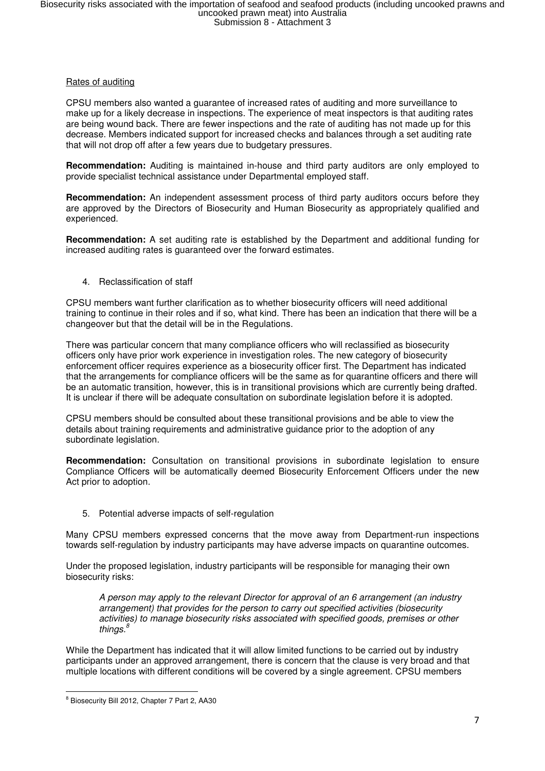# Rates of auditing

CPSU members also wanted a guarantee of increased rates of auditing and more surveillance to make up for a likely decrease in inspections. The experience of meat inspectors is that auditing rates are being wound back. There are fewer inspections and the rate of auditing has not made up for this decrease. Members indicated support for increased checks and balances through a set auditing rate that will not drop off after a few years due to budgetary pressures.

**Recommendation:** Auditing is maintained in-house and third party auditors are only employed to provide specialist technical assistance under Departmental employed staff.

**Recommendation:** An independent assessment process of third party auditors occurs before they are approved by the Directors of Biosecurity and Human Biosecurity as appropriately qualified and experienced.

**Recommendation:** A set auditing rate is established by the Department and additional funding for increased auditing rates is guaranteed over the forward estimates.

4. Reclassification of staff

CPSU members want further clarification as to whether biosecurity officers will need additional training to continue in their roles and if so, what kind. There has been an indication that there will be a changeover but that the detail will be in the Regulations.

There was particular concern that many compliance officers who will reclassified as biosecurity officers only have prior work experience in investigation roles. The new category of biosecurity enforcement officer requires experience as a biosecurity officer first. The Department has indicated that the arrangements for compliance officers will be the same as for quarantine officers and there will be an automatic transition, however, this is in transitional provisions which are currently being drafted. It is unclear if there will be adequate consultation on subordinate legislation before it is adopted.

CPSU members should be consulted about these transitional provisions and be able to view the details about training requirements and administrative guidance prior to the adoption of any subordinate legislation.

**Recommendation:** Consultation on transitional provisions in subordinate legislation to ensure Compliance Officers will be automatically deemed Biosecurity Enforcement Officers under the new Act prior to adoption.

5. Potential adverse impacts of self-regulation

Many CPSU members expressed concerns that the move away from Department-run inspections towards self-regulation by industry participants may have adverse impacts on quarantine outcomes.

Under the proposed legislation, industry participants will be responsible for managing their own biosecurity risks:

A person may apply to the relevant Director for approval of an 6 arrangement (an industry arrangement) that provides for the person to carry out specified activities (biosecurity activities) to manage biosecurity risks associated with specified goods, premises or other things. $\frac{8}{3}$ 

While the Department has indicated that it will allow limited functions to be carried out by industry participants under an approved arrangement, there is concern that the clause is very broad and that multiple locations with different conditions will be covered by a single agreement. CPSU members

 $\overline{a}$ <sup>8</sup> Biosecurity Bill 2012, Chapter 7 Part 2, AA30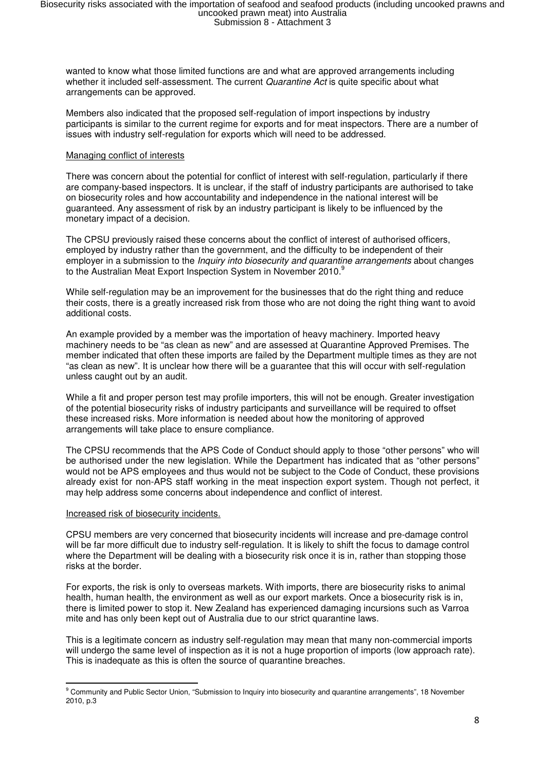wanted to know what those limited functions are and what are approved arrangements including whether it included self-assessment. The current *Quarantine Act* is quite specific about what arrangements can be approved.

Members also indicated that the proposed self-regulation of import inspections by industry participants is similar to the current regime for exports and for meat inspectors. There are a number of issues with industry self-regulation for exports which will need to be addressed.

## Managing conflict of interests

There was concern about the potential for conflict of interest with self-regulation, particularly if there are company-based inspectors. It is unclear, if the staff of industry participants are authorised to take on biosecurity roles and how accountability and independence in the national interest will be guaranteed. Any assessment of risk by an industry participant is likely to be influenced by the monetary impact of a decision.

The CPSU previously raised these concerns about the conflict of interest of authorised officers, employed by industry rather than the government, and the difficulty to be independent of their employer in a submission to the *Inquiry into biosecurity and quarantine arrangements* about changes to the Australian Meat Export Inspection System in November 2010.<sup>9</sup>

While self-regulation may be an improvement for the businesses that do the right thing and reduce their costs, there is a greatly increased risk from those who are not doing the right thing want to avoid additional costs.

An example provided by a member was the importation of heavy machinery. Imported heavy machinery needs to be "as clean as new" and are assessed at Quarantine Approved Premises. The member indicated that often these imports are failed by the Department multiple times as they are not "as clean as new". It is unclear how there will be a guarantee that this will occur with self-regulation unless caught out by an audit.

While a fit and proper person test may profile importers, this will not be enough. Greater investigation of the potential biosecurity risks of industry participants and surveillance will be required to offset these increased risks. More information is needed about how the monitoring of approved arrangements will take place to ensure compliance.

The CPSU recommends that the APS Code of Conduct should apply to those "other persons" who will be authorised under the new legislation. While the Department has indicated that as "other persons" would not be APS employees and thus would not be subject to the Code of Conduct, these provisions already exist for non-APS staff working in the meat inspection export system. Though not perfect, it may help address some concerns about independence and conflict of interest.

#### Increased risk of biosecurity incidents.

CPSU members are very concerned that biosecurity incidents will increase and pre-damage control will be far more difficult due to industry self-regulation. It is likely to shift the focus to damage control where the Department will be dealing with a biosecurity risk once it is in, rather than stopping those risks at the border.

For exports, the risk is only to overseas markets. With imports, there are biosecurity risks to animal health, human health, the environment as well as our export markets. Once a biosecurity risk is in, there is limited power to stop it. New Zealand has experienced damaging incursions such as Varroa mite and has only been kept out of Australia due to our strict quarantine laws.

This is a legitimate concern as industry self-regulation may mean that many non-commercial imports will undergo the same level of inspection as it is not a huge proportion of imports (low approach rate). This is inadequate as this is often the source of quarantine breaches.

erative Community and Public Sector Union, "Submission to Inquiry into biosecurity and quarantine arrangements", 18 November<br>Prommunity and Public Sector Union, "Submission to Inquiry into biosecurity and quarantine arrang 2010, p.3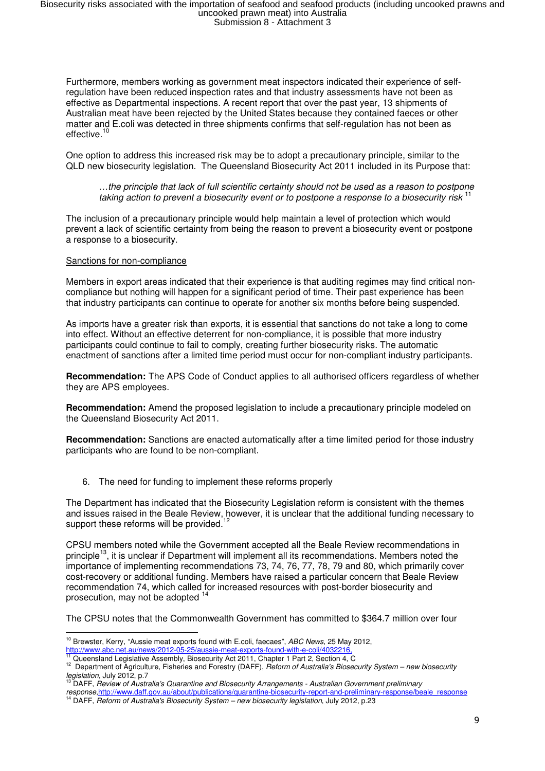Furthermore, members working as government meat inspectors indicated their experience of selfregulation have been reduced inspection rates and that industry assessments have not been as effective as Departmental inspections. A recent report that over the past year, 13 shipments of Australian meat have been rejected by the United States because they contained faeces or other matter and E.coli was detected in three shipments confirms that self-regulation has not been as effective.<sup>10</sup>

One option to address this increased risk may be to adopt a precautionary principle, similar to the QLD new biosecurity legislation. The Queensland Biosecurity Act 2011 included in its Purpose that:

…the principle that lack of full scientific certainty should not be used as a reason to postpone taking action to prevent a biosecurity event or to postpone a response to a biosecurity risk <sup>11</sup>

The inclusion of a precautionary principle would help maintain a level of protection which would prevent a lack of scientific certainty from being the reason to prevent a biosecurity event or postpone a response to a biosecurity.

#### Sanctions for non-compliance

Members in export areas indicated that their experience is that auditing regimes may find critical noncompliance but nothing will happen for a significant period of time. Their past experience has been that industry participants can continue to operate for another six months before being suspended.

As imports have a greater risk than exports, it is essential that sanctions do not take a long to come into effect. Without an effective deterrent for non-compliance, it is possible that more industry participants could continue to fail to comply, creating further biosecurity risks. The automatic enactment of sanctions after a limited time period must occur for non-compliant industry participants.

**Recommendation:** The APS Code of Conduct applies to all authorised officers regardless of whether they are APS employees.

**Recommendation:** Amend the proposed legislation to include a precautionary principle modeled on the Queensland Biosecurity Act 2011.

**Recommendation:** Sanctions are enacted automatically after a time limited period for those industry participants who are found to be non-compliant.

6. The need for funding to implement these reforms properly

The Department has indicated that the Biosecurity Legislation reform is consistent with the themes and issues raised in the Beale Review, however, it is unclear that the additional funding necessary to support these reforms will be provided.<sup>12</sup>

CPSU members noted while the Government accepted all the Beale Review recommendations in principle<sup>13</sup>, it is unclear if Department will implement all its recommendations. Members noted the importance of implementing recommendations 73, 74, 76, 77, 78, 79 and 80, which primarily cover cost-recovery or additional funding. Members have raised a particular concern that Beale Review recommendation 74, which called for increased resources with post-border biosecurity and prosecution, may not be adopted <sup>14</sup>

The CPSU notes that the Commonwealth Government has committed to \$364.7 million over four

l <sup>10</sup> Brewster, Kerry, "Aussie meat exports found with E.coli, faecaes", ABC News, 25 May 2012,

<sup>&</sup>lt;u>http://www.abc.net.au/news/2012-05-25/aussie-meat-exports-found-with-e-coli/4032216.</u><br><sup>11</sup> Queensland Legislative Assembly, Biosecurity Act 2011, Chapter 1 Part 2, Section 4, C

<sup>12</sup> Department of Agriculture, Fisheries and Forestry (DAFF), Reform of Australia's Biosecurity System – new biosecurity legislation, July 2012, p.7

<sup>&</sup>lt;sup>13</sup> DAFF, Review of Australia's Quarantine and Biosecurity Arrangements - Australian Government preliminary

*response*,<u>http://www.daff.gov.au/about/publications/quarantine-biosecurity-report-and-preliminary-response/beale\_response<br><sup>14</sup> DAFF, *Reform of Australia's Biosecurity System – new biosecurity legislation*, July 2012, p.</u>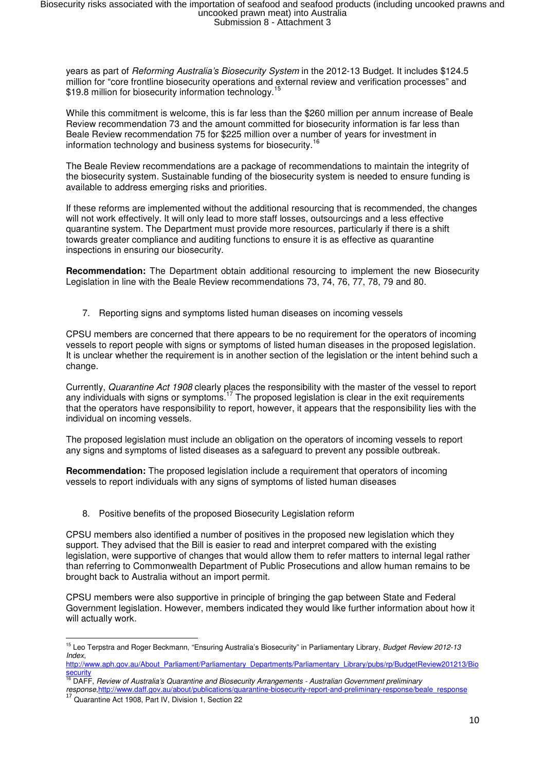years as part of Reforming Australia's Biosecurity System in the 2012-13 Budget. It includes \$124.5 million for "core frontline biosecurity operations and external review and verification processes" and \$19.8 million for biosecurity information technology.<sup>15</sup>

While this commitment is welcome, this is far less than the \$260 million per annum increase of Beale Review recommendation 73 and the amount committed for biosecurity information is far less than Beale Review recommendation 75 for \$225 million over a number of years for investment in information technology and business systems for biosecurity.<sup>16</sup>

The Beale Review recommendations are a package of recommendations to maintain the integrity of the biosecurity system. Sustainable funding of the biosecurity system is needed to ensure funding is available to address emerging risks and priorities.

If these reforms are implemented without the additional resourcing that is recommended, the changes will not work effectively. It will only lead to more staff losses, outsourcings and a less effective quarantine system. The Department must provide more resources, particularly if there is a shift towards greater compliance and auditing functions to ensure it is as effective as quarantine inspections in ensuring our biosecurity.

**Recommendation:** The Department obtain additional resourcing to implement the new Biosecurity Legislation in line with the Beale Review recommendations 73, 74, 76, 77, 78, 79 and 80.

7. Reporting signs and symptoms listed human diseases on incoming vessels

CPSU members are concerned that there appears to be no requirement for the operators of incoming vessels to report people with signs or symptoms of listed human diseases in the proposed legislation. It is unclear whether the requirement is in another section of the legislation or the intent behind such a change.

Currently, Quarantine Act 1908 clearly places the responsibility with the master of the vessel to report any individuals with signs or symptoms.<sup>17</sup> The proposed legislation is clear in the exit requirements that the operators have responsibility to report, however, it appears that the responsibility lies with the individual on incoming vessels.

The proposed legislation must include an obligation on the operators of incoming vessels to report any signs and symptoms of listed diseases as a safeguard to prevent any possible outbreak.

**Recommendation:** The proposed legislation include a requirement that operators of incoming vessels to report individuals with any signs of symptoms of listed human diseases

8. Positive benefits of the proposed Biosecurity Legislation reform

CPSU members also identified a number of positives in the proposed new legislation which they support. They advised that the Bill is easier to read and interpret compared with the existing legislation, were supportive of changes that would allow them to refer matters to internal legal rather than referring to Commonwealth Department of Public Prosecutions and allow human remains to be brought back to Australia without an import permit.

CPSU members were also supportive in principle of bringing the gap between State and Federal Government legislation. However, members indicated they would like further information about how it will actually work.

l

<sup>&</sup>lt;sup>15</sup> Leo Terpstra and Roger Beckmann, "Ensuring Australia's Biosecurity" in Parliamentary Library, Budget Review 2012-13 Index,

http://www.aph.gov.au/About\_Parliament/Parliamentary\_Departments/Parliamentary\_Library/pubs/rp/BudgetReview201213/Bio security

<sup>&</sup>lt;u>security</u><br><sup>16</sup> DAFF, *Review of Australia's Quarantine and Biosecurity Arrangements - Australian Government preliminary<br>response http://www.daff.gov.au/about/publications/guarantine-biosecurity-report-and-preliminary-resp* response,http://www.daff.gov.au/about/publications/quarantine-biosecurity-report-and-preliminary-response/bealeredreresponse/bealt\_gov.au/about/publications/quarantine-biosecurity-report-and-preliminary-response/bealeredre

<sup>17</sup> Quarantine Act 1908, Part IV, Division 1, Section 22